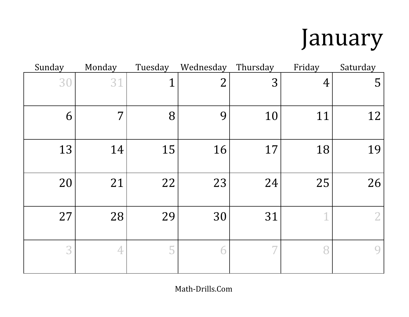### January

| Sunday | Monday | Tuesday        | Wednesday      | Thursday | Friday         | Saturday       |
|--------|--------|----------------|----------------|----------|----------------|----------------|
| 30     | 31     | $\overline{1}$ | $\overline{2}$ | 3        | $\overline{4}$ | 5              |
| 6      | 7      | 8              | 9              | 10       | 11             | 12             |
| 13     | 14     | 15             | 16             | 17       | 18             | 19             |
| 20     | 21     | 22             | 23             | 24       | 25             | 26             |
| 27     | 28     | 29             | 30             | 31       | 1              | $\overline{2}$ |
| 3      | 4      | 5              | 6              | 7        | 8              | 9              |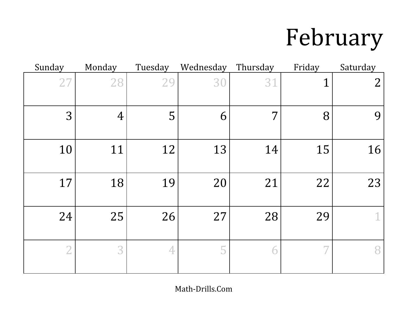# February

| Sunday         | Monday         | Tuesday | Wednesday | Thursday | Friday | Saturday       |
|----------------|----------------|---------|-----------|----------|--------|----------------|
| 27             | 28             | 29      | 30        | 31       |        | $\overline{2}$ |
| 3              | $\overline{4}$ | 5       | 6         | 7        | 8      | 9              |
| 10             | 11             | 12      | 13        | 14       | 15     | 16             |
| 17             | 18             | 19      | 20        | 21       | 22     | 23             |
| 24             | 25             | 26      | 27        | 28       | 29     | 1              |
| $\overline{2}$ | 3              | 4       | 5         | 6        |        | 8              |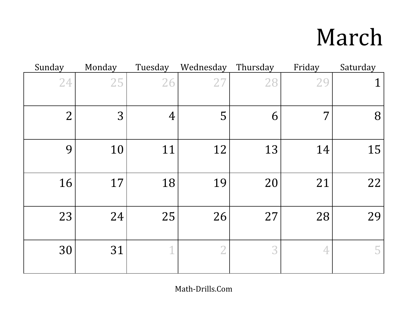## March

| Sunday         | Monday | Tuesday        | Wednesday      | Thursday | Friday         | Saturday |
|----------------|--------|----------------|----------------|----------|----------------|----------|
| 24             | 25     | 26             | 2 <sub>7</sub> | 28       | 29             | 1        |
| $\overline{2}$ | 3      | $\overline{4}$ | 5              | 6        | 7              | 8        |
| 9              | 10     | 11             | 12             | 13       | 14             | 15       |
| 16             | 17     | 18             | 19             | 20       | 21             | 22       |
| 23             | 24     | 25             | 26             | 27       | 28             | 29       |
| 30             | 31     | $\mathbf 1$    | $\overline{2}$ | 3        | $\overline{4}$ | 5        |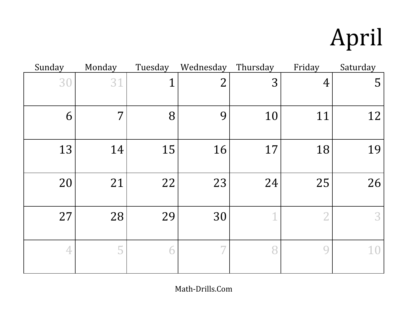# April

| Sunday | Monday | Tuesday     | Wednesday      | Thursday | Friday         | Saturday |
|--------|--------|-------------|----------------|----------|----------------|----------|
| 30     | 31     | $\mathbf 1$ | $\overline{2}$ | 3        | $\overline{4}$ | 5        |
| 6      | 7      | 8           | 9              | 10       | 11             | 12       |
| 13     | 14     | 15          | 16             | 17       | 18             | 19       |
| 20     | 21     | 22          | 23             | 24       | 25             | 26       |
| 27     | 28     | 29          | 30             | 1        |                | 3        |
| 4      | 5      | 6           |                | 8        | 9              | 10       |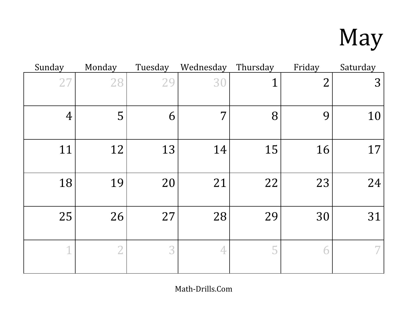# May

| Sunday         | Monday         | Tuesday | Wednesday | Thursday    | Friday         | Saturday |
|----------------|----------------|---------|-----------|-------------|----------------|----------|
| 27             | 28             | 29      | 30        | $\mathbf 1$ | $\overline{2}$ | 3        |
| $\overline{4}$ | 5              | 6       | 7         | 8           | 9              | 10       |
| 11             | 12             | 13      | 14        | 15          | 16             | 17       |
| 18             | 19             | 20      | 21        | 22          | 23             | 24       |
| 25             | 26             | 27      | 28        | 29          | 30             | 31       |
| 1              | $\overline{2}$ | 3       | 4         | 5           | 6              |          |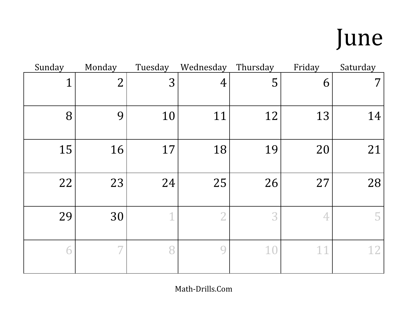## June

| Sunday | Monday         | Tuesday | Wednesday | Thursday | Friday | Saturday |
|--------|----------------|---------|-----------|----------|--------|----------|
| 1      | $\overline{2}$ | 3       | 4         | 5        | 6      | $7\,$    |
| 8      | 9              | 10      | 11        | 12       | 13     | 14       |
| 15     | 16             | 17      | 18        | 19       | 20     | 21       |
| 22     | 23             | 24      | 25        | 26       | 27     | 28       |
| 29     | 30             | 1       | $\bigcap$ | 3        | 4      | 5.       |
| 6      | 7              |         | $\Omega$  | 10       | 11     | 12       |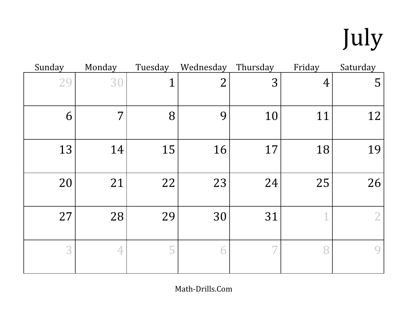# July

| Sunday | Monday | Tuesday     | Wednesday      | Thursday | Friday         | Saturday       |
|--------|--------|-------------|----------------|----------|----------------|----------------|
| 29     | 30     | $\mathbf 1$ | $\overline{2}$ | 3        | $\overline{4}$ | 5              |
| 6      | 7      | 8           | 9              | 10       | 11             | 12             |
| 13     | 14     | 15          | 16             | 17       | 18             | 19             |
| 20     | 21     | 22          | 23             | 24       | 25             | 26             |
| 27     | 28     | 29          | 30             | 31       | 1              | $\overline{2}$ |
| 3      | 4      | 5           |                | 7        | 8              | 9              |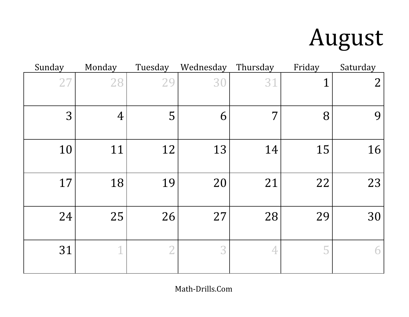## August

| Sunday | Monday         | Tuesday        | Wednesday | Thursday | Friday | Saturday       |
|--------|----------------|----------------|-----------|----------|--------|----------------|
| 27     | 28             | 29             | 30        | 31       | 1      | $\overline{2}$ |
| 3      | $\overline{4}$ | 5              | 6         | 7        | 8      | 9              |
| 10     | 11             | 12             | 13        | 14       | 15     | 16             |
| 17     | 18             | 19             | 20        | 21       | 22     | 23             |
| 24     | 25             | 26             | 27        | 28       | 29     | 30             |
| 31     | $\overline{1}$ | $\overline{2}$ | 3         | 4        | 5      | 6              |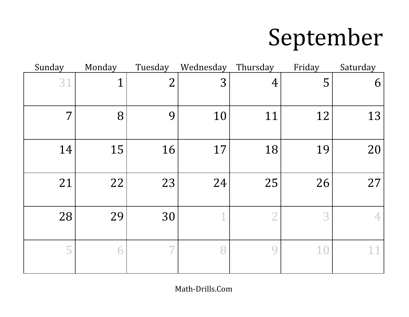### September

| Sunday | Monday      | Tuesday                  | Wednesday | Thursday       | Friday | Saturday |
|--------|-------------|--------------------------|-----------|----------------|--------|----------|
| 31     | $\mathbf 1$ | $\overline{2}$           | 3         | $\overline{4}$ | 5      | 6        |
| 7      | 8           | 9                        | 10        | 11             | 12     | 13       |
| 14     | 15          | 16                       | 17        | 18             | 19     | 20       |
| 21     | 22          | 23                       | 24        | 25             | 26     | 27       |
| 28     | 29          | 30                       |           | $\overline{2}$ | 3      | 4        |
| 5      | 6           | $\overline{\phantom{a}}$ | 8         | 9              | 10     | 11       |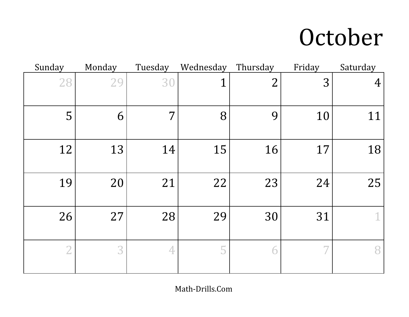#### October

| Sunday         | Monday | Tuesday | Wednesday | Thursday       | Friday | Saturday       |
|----------------|--------|---------|-----------|----------------|--------|----------------|
| 28             | 29     | 30      | 1         | $\overline{2}$ | 3      | $\overline{4}$ |
| 5              | 6      | 7       | 8         | 9              | 10     | 11             |
| 12             | 13     | 14      | 15        | 16             | 17     | 18             |
| 19             | 20     | 21      | 22        | 23             | 24     | 25             |
| 26             | 27     | 28      | 29        | 30             | 31     | 1              |
| $\overline{2}$ | 3      | 4       | 5         | 6              |        | 8              |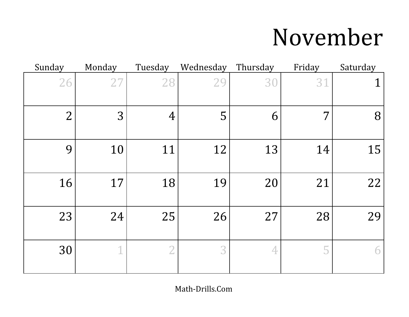### November

| Sunday         | Monday | Tuesday        | Wednesday      | Thursday | Friday | Saturday |
|----------------|--------|----------------|----------------|----------|--------|----------|
| 26             | 27     | 28             | 2 <sub>9</sub> | 30       | 31     | 1        |
| $\overline{2}$ | 3      | $\overline{4}$ | 5              | 6        | 7      | 8        |
| 9              | 10     | 11             | 12             | 13       | 14     | 15       |
| 16             | 17     | 18             | 19             | 20       | 21     | 22       |
| 23             | 24     | 25             | 26             | 27       | 28     | 29       |
| 30             | 1      | $\overline{2}$ | 3              | 4        | 5      | 6        |